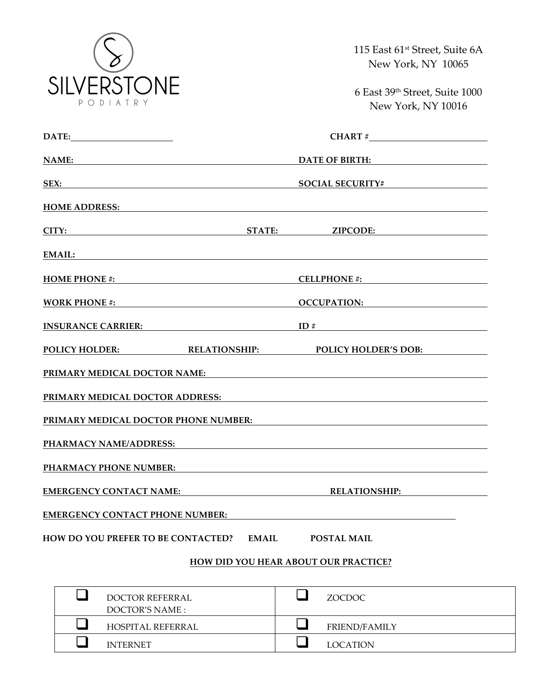

115 East 61<sup>st</sup> Street, Suite 6A New York, NY 10065

6 East 39th Street, Suite 1000 New York, NY 10016

| <u> 1980 - Johann Barbara, martxa eta politikar</u><br>DATE: |                                                                                                                                                                                                                                |
|--------------------------------------------------------------|--------------------------------------------------------------------------------------------------------------------------------------------------------------------------------------------------------------------------------|
| NAME:                                                        | DATE OF BIRTH: NAME OF BIRTH                                                                                                                                                                                                   |
| SEX:                                                         | SOCIAL SECURITY#                                                                                                                                                                                                               |
|                                                              | HOME ADDRESS: The contract of the contract of the contract of the contract of the contract of the contract of the contract of the contract of the contract of the contract of the contract of the contract of the contract of  |
|                                                              | <b>CITY:</b> STATE: <b>STATE: STATE: ZIPCODE:</b>                                                                                                                                                                              |
|                                                              | EMAIL: EMAIL:                                                                                                                                                                                                                  |
| HOME PHONE $#$ :                                             | $\text{CELLPHONE}$ #:                                                                                                                                                                                                          |
|                                                              |                                                                                                                                                                                                                                |
| <b>INSURANCE CARRIER:</b> ID #                               | <u> 1980 - Jan Samuel Barbara, margaret e</u>                                                                                                                                                                                  |
|                                                              | POLICY HOLDER: RELATIONSHIP: POLICY HOLDER'S DOB:                                                                                                                                                                              |
|                                                              |                                                                                                                                                                                                                                |
|                                                              | PRIMARY MEDICAL DOCTOR ADDRESS:                                                                                                                                                                                                |
|                                                              |                                                                                                                                                                                                                                |
|                                                              | PHARMACY NAME/ADDRESS: The Contract of the Contract of the Contract of the Contract of the Contract of the Contract of the Contract of the Contract of the Contract of the Contract of the Contract of the Contract of the Con |
|                                                              | PHARMACY PHONE NUMBER: University of the Second Pharmace of the Second Pharmace of the Second Pharmace of the S                                                                                                                |
| <b>EMERGENCY CONTACT NAME:</b>                               | <b>RELATIONSHIP:</b>                                                                                                                                                                                                           |
|                                                              | EMERGENCY CONTACT PHONE NUMBER: WE ARE A PARTICLE AND THE RESERVE THOSE IN THE RESERVE THAT A PARTICLE ASSESSED ASSESSED.                                                                                                      |
| HOW DO YOU PREFER TO BE CONTACTED? EMAIL POSTAL MAIL         |                                                                                                                                                                                                                                |
|                                                              |                                                                                                                                                                                                                                |

## **HOW DID YOU HEAR ABOUT OUR PRACTICE?**

| DOCTOR REFERRAL<br>DOCTOR'S NAME : | ZOCDOC               |
|------------------------------------|----------------------|
| <b>HOSPITAL REFERRAL</b>           | <b>FRIEND/FAMILY</b> |
| <b>INTERNET</b>                    | <b>LOCATION</b>      |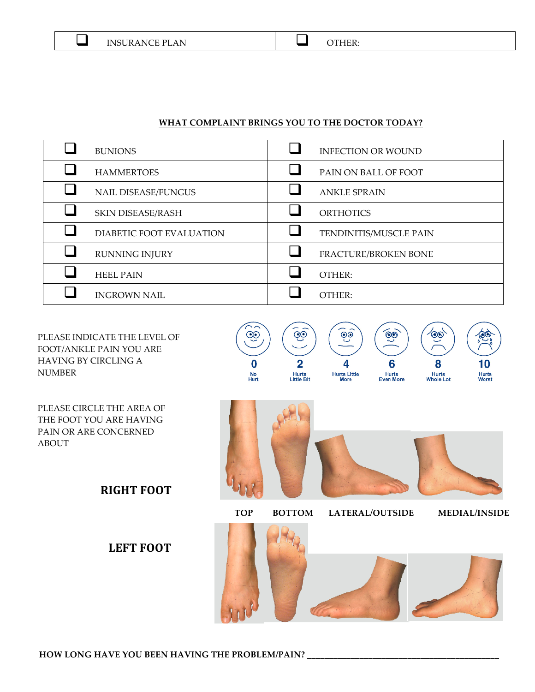| <b>INSURANCE PLAN</b> | <b>OTHER.</b> |
|-----------------------|---------------|
|-----------------------|---------------|

#### **WHAT COMPLAINT BRINGS YOU TO THE DOCTOR TODAY?**

| <b>BUNIONS</b>             | <b>INFECTION OR WOUND</b> |
|----------------------------|---------------------------|
| <b>HAMMERTOES</b>          | PAIN ON BALL OF FOOT      |
| <b>NAIL DISEASE/FUNGUS</b> | <b>ANKLE SPRAIN</b>       |
| <b>SKIN DISEASE/RASH</b>   | <b>ORTHOTICS</b>          |
| DIABETIC FOOT EVALUATION   | TENDINITIS/MUSCLE PAIN    |
| <b>RUNNING INJURY</b>      | FRACTURE/BROKEN BONE      |
| <b>HEEL PAIN</b>           | <b>OTHER:</b>             |
| <b>INGROWN NAIL</b>        | OTHER:                    |

PLEASE INDICATE THE LEVEL OF FOOT/ANKLE PAIN YOU ARE HAVING BY CIRCLING A NUMBER

PLEASE CIRCLE THE AREA OF THE FOOT YOU ARE HAVING PAIN OR ARE CONCERNED ABOUT





**RIGHT FOOT** 

LEFT FOOT

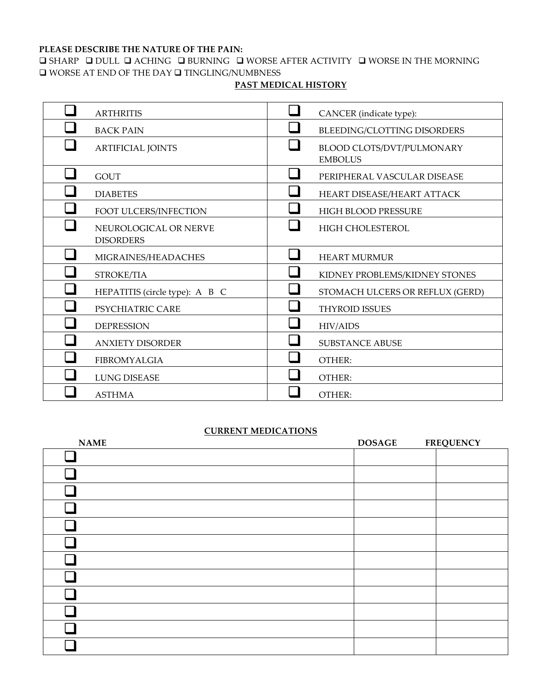## **PLEASE DESCRIBE THE NATURE OF THE PAIN:**

 $\square$  SHARP $\square$  DULL  $\square$  ACHING  $\square$  BURNING  $\square$  WORSE AFTER ACTIVITY  $\square$  WORSE IN THE MORNING  $\square$  <br> WORSE AT END OF THE DAY  $\square$  <br> TINGLING/NUMBNESS

#### **PAST MEDICAL HISTORY**

| <b>ARTHRITIS</b>                          | CANCER (indicate type):                     |
|-------------------------------------------|---------------------------------------------|
| <b>BACK PAIN</b>                          | BLEEDING/CLOTTING DISORDERS                 |
| <b>ARTIFICIAL JOINTS</b>                  | BLOOD CLOTS/DVT/PULMONARY<br><b>EMBOLUS</b> |
| <b>GOUT</b>                               | PERIPHERAL VASCULAR DISEASE                 |
| <b>DIABETES</b>                           | HEART DISEASE/HEART ATTACK                  |
| FOOT ULCERS/INFECTION                     | <b>HIGH BLOOD PRESSURE</b>                  |
| NEUROLOGICAL OR NERVE<br><b>DISORDERS</b> | <b>HIGH CHOLESTEROL</b>                     |
| MIGRAINES/HEADACHES                       | <b>HEART MURMUR</b>                         |
| STROKE/TIA                                | KIDNEY PROBLEMS/KIDNEY STONES               |
| HEPATITIS (circle type): A B C            | STOMACH ULCERS OR REFLUX (GERD)             |
| PSYCHIATRIC CARE                          | <b>THYROID ISSUES</b>                       |
| <b>DEPRESSION</b>                         | HIV/AIDS                                    |
| <b>ANXIETY DISORDER</b>                   | <b>SUBSTANCE ABUSE</b>                      |
| FIBROMYALGIA                              | OTHER:                                      |
| <b>LUNG DISEASE</b>                       | OTHER:                                      |
| <b>ASTHMA</b>                             | OTHER:                                      |

## **CURRENT MEDICATIONS**

| <b>NAME</b> | <b>DOSAGE</b> | <b>FREQUENCY</b> |
|-------------|---------------|------------------|
|             |               |                  |
|             |               |                  |
|             |               |                  |
|             |               |                  |
|             |               |                  |
|             |               |                  |
|             |               |                  |
|             |               |                  |
|             |               |                  |
|             |               |                  |
|             |               |                  |
|             |               |                  |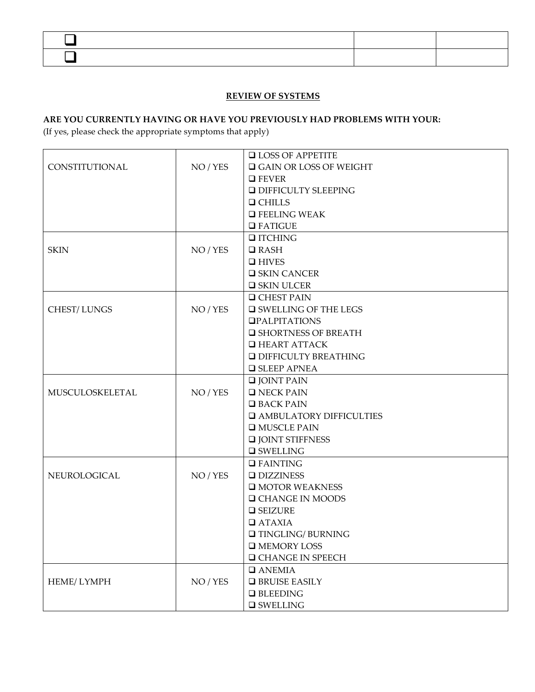## **REVIEW OF SYSTEMS**

#### **ARE YOU CURRENTLY HAVING OR HAVE YOU PREVIOUSLY HAD PROBLEMS WITH YOUR:**

(If yes, please check the appropriate symptoms that apply)

|                   |          | <b>□ LOSS OF APPETITE</b>        |
|-------------------|----------|----------------------------------|
| CONSTITUTIONAL    | NO / YES | <b>Q</b> GAIN OR LOSS OF WEIGHT  |
|                   |          | $\Box$ FEVER                     |
|                   |          | <b>Q DIFFICULTY SLEEPING</b>     |
|                   |          | $\Box$ CHILLS                    |
|                   |          | $\Box$ FEELING WEAK              |
|                   |          | $\Box$ FATIGUE                   |
|                   |          | $\Box$ ITCHING                   |
| <b>SKIN</b>       | NO/YES   | $\Box$ RASH                      |
|                   |          | $\Box$ HIVES                     |
|                   |          | $\square$ SKIN CANCER            |
|                   |          | $\square$ SKIN ULCER             |
|                   |          | $\Box$ CHEST PAIN                |
| CHEST/LUNGS       | NO / YES | $\square$ SWELLING OF THE LEGS   |
|                   |          | <b>OPALPITATIONS</b>             |
|                   |          | <b>Q SHORTNESS OF BREATH</b>     |
|                   |          | $\Box$ HEART ATTACK              |
|                   |          | <b>O DIFFICULTY BREATHING</b>    |
|                   |          | $\Box$ SLEEP APNEA               |
|                   |          | $\Box$ JOINT PAIN                |
| MUSCULOSKELETAL   | NO/YES   | $\square$ NECK PAIN              |
|                   |          | $\square$ BACK PAIN              |
|                   |          | <b>Q AMBULATORY DIFFICULTIES</b> |
|                   |          | $\square$ MUSCLE PAIN            |
|                   |          | $\Box$ JOINT STIFFNESS           |
|                   |          | $\square$ SWELLING               |
|                   |          | $\Box$ FAINTING                  |
| NEUROLOGICAL      | NO / YES | $\Box$ DIZZINESS                 |
|                   |          | <b>OMOTOR WEAKNESS</b>           |
|                   |          | <b>Q CHANGE IN MOODS</b>         |
|                   |          | $\square$ SEIZURE                |
|                   |          | $\Box$ ATAXIA                    |
|                   |          | $\Box$ TINGLING/BURNING          |
|                   |          | <b>III</b> MEMORY LOSS           |
|                   |          | <b>Q CHANGE IN SPEECH</b>        |
|                   |          | $\Box$ ANEMIA                    |
| <b>HEME/LYMPH</b> | NO / YES | <b>O BRUISE EASILY</b>           |
|                   |          | $\Box$ BLEEDING                  |
|                   |          | $\square$ SWELLING               |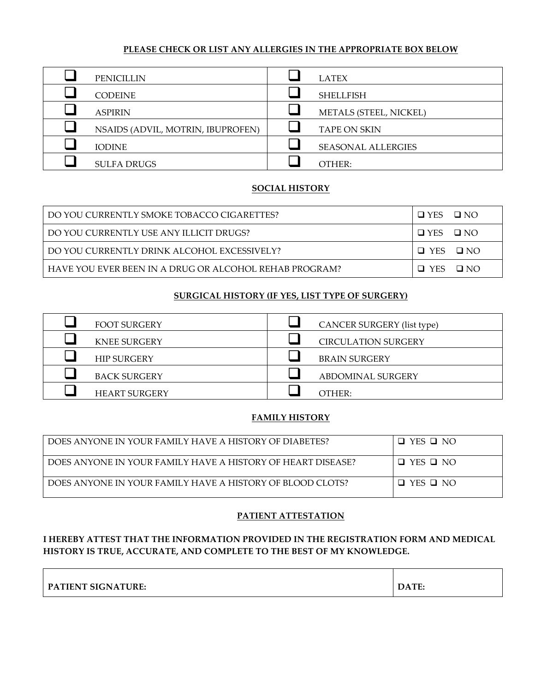## **PLEASE CHECK OR LIST ANY ALLERGIES IN THE APPROPRIATE BOX BELOW**

| PENICILLIN                        | <b>LATEX</b>              |
|-----------------------------------|---------------------------|
| <b>CODEINE</b>                    | SHELLFISH                 |
| <b>ASPIRIN</b>                    | METALS (STEEL, NICKEL)    |
| NSAIDS (ADVIL, MOTRIN, IBUPROFEN) | <b>TAPE ON SKIN</b>       |
| <b>IODINE</b>                     | <b>SEASONAL ALLERGIES</b> |
| <b>SULFA DRUGS</b>                | OTHER:                    |

#### **SOCIAL HISTORY**

| DO YOU CURRENTLY SMOKE TOBACCO CIGARETTES?             | $\Box$ YES $\Box$ NO |
|--------------------------------------------------------|----------------------|
| DO YOU CURRENTLY USE ANY ILLICIT DRUGS?                | $\Box$ YES $\Box$ NO |
| DO YOU CURRENTLY DRINK ALCOHOL EXCESSIVELY?            | $\Box$ YES $\Box$ NO |
| HAVE YOU EVER BEEN IN A DRUG OR ALCOHOL REHAB PROGRAM? | $\Box$ YES $\Box$ NO |

## **SURGICAL HISTORY (IF YES, LIST TYPE OF SURGERY)**

| <b>FOOT SURGERY</b>  | CANCER SURGERY (list type) |
|----------------------|----------------------------|
| <b>KNEE SURGERY</b>  | <b>CIRCULATION SURGERY</b> |
| <b>HIP SURGERY</b>   | <b>BRAIN SURGERY</b>       |
| <b>BACK SURGERY</b>  | <b>ABDOMINAL SURGERY</b>   |
| <b>HEART SURGERY</b> | OTHER:                     |

#### **FAMILY HISTORY**

| DOES ANYONE IN YOUR FAMILY HAVE A HISTORY OF DIABETES?      | $\Box$ YES $\Box$ NO |
|-------------------------------------------------------------|----------------------|
| DOES ANYONE IN YOUR FAMILY HAVE A HISTORY OF HEART DISEASE? | $\Box$ YES $\Box$ NO |
| DOES ANYONE IN YOUR FAMILY HAVE A HISTORY OF BLOOD CLOTS?   | $\Box$ YES $\Box$ NO |

## **PATIENT ATTESTATION**

## **I HEREBY ATTEST THAT THE INFORMATION PROVIDED IN THE REGISTRATION FORM AND MEDICAL HISTORY IS TRUE, ACCURATE, AND COMPLETE TO THE BEST OF MY KNOWLEDGE.**

 $\mathsf{r}$ 

| <b>PATIENT SIGNATURE:</b><br>DATE: |  |  |
|------------------------------------|--|--|
|------------------------------------|--|--|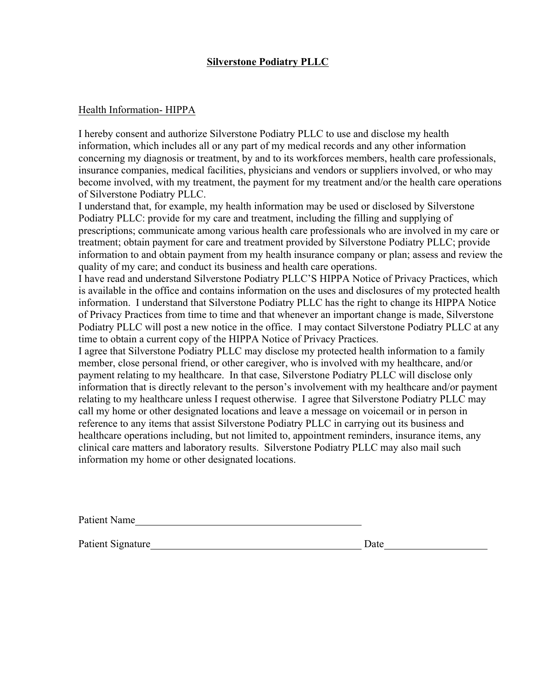# **Silverstone Podiatry PLLC**

## Health Information- HIPPA

I hereby consent and authorize Silverstone Podiatry PLLC to use and disclose my health information, which includes all or any part of my medical records and any other information concerning my diagnosis or treatment, by and to its workforces members, health care professionals, insurance companies, medical facilities, physicians and vendors or suppliers involved, or who may become involved, with my treatment, the payment for my treatment and/or the health care operations of Silverstone Podiatry PLLC.

I understand that, for example, my health information may be used or disclosed by Silverstone Podiatry PLLC: provide for my care and treatment, including the filling and supplying of prescriptions; communicate among various health care professionals who are involved in my care or treatment; obtain payment for care and treatment provided by Silverstone Podiatry PLLC; provide information to and obtain payment from my health insurance company or plan; assess and review the quality of my care; and conduct its business and health care operations.

I have read and understand Silverstone Podiatry PLLC'S HIPPA Notice of Privacy Practices, which is available in the office and contains information on the uses and disclosures of my protected health information. I understand that Silverstone Podiatry PLLC has the right to change its HIPPA Notice of Privacy Practices from time to time and that whenever an important change is made, Silverstone Podiatry PLLC will post a new notice in the office. I may contact Silverstone Podiatry PLLC at any time to obtain a current copy of the HIPPA Notice of Privacy Practices.

I agree that Silverstone Podiatry PLLC may disclose my protected health information to a family member, close personal friend, or other caregiver, who is involved with my healthcare, and/or payment relating to my healthcare. In that case, Silverstone Podiatry PLLC will disclose only information that is directly relevant to the person's involvement with my healthcare and/or payment relating to my healthcare unless I request otherwise. I agree that Silverstone Podiatry PLLC may call my home or other designated locations and leave a message on voicemail or in person in reference to any items that assist Silverstone Podiatry PLLC in carrying out its business and healthcare operations including, but not limited to, appointment reminders, insurance items, any clinical care matters and laboratory results. Silverstone Podiatry PLLC may also mail such information my home or other designated locations.

| Patient Name |  |
|--------------|--|
|--------------|--|

Patient Signature Date of the U

| Я |
|---|
|   |